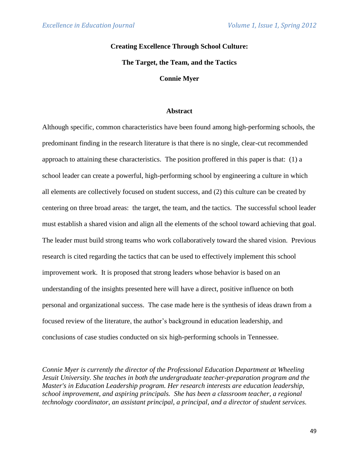# **Creating Excellence Through School Culture:**

**The Target, the Team, and the Tactics**

**Connie Myer**

#### **Abstract**

Although specific, common characteristics have been found among high-performing schools, the predominant finding in the research literature is that there is no single, clear-cut recommended approach to attaining these characteristics. The position proffered in this paper is that: (1) a school leader can create a powerful, high-performing school by engineering a culture in which all elements are collectively focused on student success, and (2) this culture can be created by centering on three broad areas: the target, the team, and the tactics. The successful school leader must establish a shared vision and align all the elements of the school toward achieving that goal. The leader must build strong teams who work collaboratively toward the shared vision. Previous research is cited regarding the tactics that can be used to effectively implement this school improvement work. It is proposed that strong leaders whose behavior is based on an understanding of the insights presented here will have a direct, positive influence on both personal and organizational success. The case made here is the synthesis of ideas drawn from a focused review of the literature, the author's background in education leadership, and conclusions of case studies conducted on six high-performing schools in Tennessee.

*Connie Myer is currently the director of the Professional Education Department at Wheeling Jesuit University. She teaches in both the undergraduate teacher-preparation program and the Master's in Education Leadership program. Her research interests are education leadership, school improvement, and aspiring principals. She has been a classroom teacher, a regional technology coordinator, an assistant principal, a principal, and a director of student services.*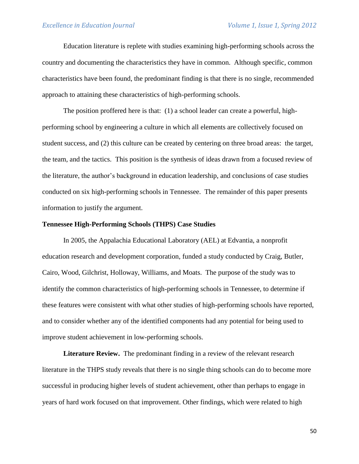Education literature is replete with studies examining high-performing schools across the country and documenting the characteristics they have in common. Although specific, common characteristics have been found, the predominant finding is that there is no single, recommended approach to attaining these characteristics of high-performing schools.

The position proffered here is that: (1) a school leader can create a powerful, highperforming school by engineering a culture in which all elements are collectively focused on student success, and (2) this culture can be created by centering on three broad areas: the target, the team, and the tactics. This position is the synthesis of ideas drawn from a focused review of the literature, the author's background in education leadership, and conclusions of case studies conducted on six high-performing schools in Tennessee. The remainder of this paper presents information to justify the argument.

### **Tennessee High-Performing Schools (THPS) Case Studies**

In 2005, the Appalachia Educational Laboratory (AEL) at Edvantia, a nonprofit education research and development corporation, funded a study conducted by Craig, Butler, Cairo, Wood, Gilchrist, Holloway, Williams, and Moats. The purpose of the study was to identify the common characteristics of high-performing schools in Tennessee, to determine if these features were consistent with what other studies of high-performing schools have reported, and to consider whether any of the identified components had any potential for being used to improve student achievement in low-performing schools.

**Literature Review.** The predominant finding in a review of the relevant research literature in the THPS study reveals that there is no single thing schools can do to become more successful in producing higher levels of student achievement, other than perhaps to engage in years of hard work focused on that improvement. Other findings, which were related to high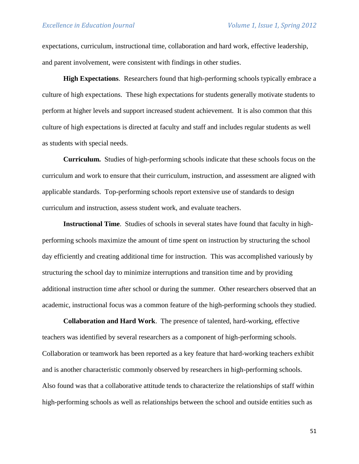expectations, curriculum, instructional time, collaboration and hard work, effective leadership, and parent involvement, were consistent with findings in other studies.

**High Expectations**. Researchers found that high-performing schools typically embrace a culture of high expectations. These high expectations for students generally motivate students to perform at higher levels and support increased student achievement. It is also common that this culture of high expectations is directed at faculty and staff and includes regular students as well as students with special needs.

**Curriculum.** Studies of high-performing schools indicate that these schools focus on the curriculum and work to ensure that their curriculum, instruction, and assessment are aligned with applicable standards. Top-performing schools report extensive use of standards to design curriculum and instruction, assess student work, and evaluate teachers.

**Instructional Time**. Studies of schools in several states have found that faculty in highperforming schools maximize the amount of time spent on instruction by structuring the school day efficiently and creating additional time for instruction. This was accomplished variously by structuring the school day to minimize interruptions and transition time and by providing additional instruction time after school or during the summer. Other researchers observed that an academic, instructional focus was a common feature of the high-performing schools they studied.

**Collaboration and Hard Work**. The presence of talented, hard-working, effective teachers was identified by several researchers as a component of high-performing schools. Collaboration or teamwork has been reported as a key feature that hard-working teachers exhibit and is another characteristic commonly observed by researchers in high-performing schools. Also found was that a collaborative attitude tends to characterize the relationships of staff within high-performing schools as well as relationships between the school and outside entities such as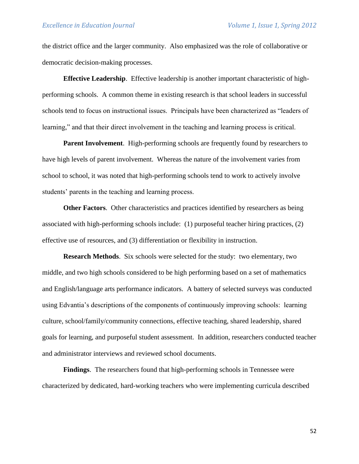the district office and the larger community. Also emphasized was the role of collaborative or democratic decision-making processes.

**Effective Leadership**. Effective leadership is another important characteristic of highperforming schools. A common theme in existing research is that school leaders in successful schools tend to focus on instructional issues. Principals have been characterized as "leaders of learning," and that their direct involvement in the teaching and learning process is critical.

**Parent Involvement**. High-performing schools are frequently found by researchers to have high levels of parent involvement. Whereas the nature of the involvement varies from school to school, it was noted that high-performing schools tend to work to actively involve students' parents in the teaching and learning process.

**Other Factors**. Other characteristics and practices identified by researchers as being associated with high-performing schools include: (1) purposeful teacher hiring practices, (2) effective use of resources, and (3) differentiation or flexibility in instruction.

**Research Methods**. Six schools were selected for the study: two elementary, two middle, and two high schools considered to be high performing based on a set of mathematics and English/language arts performance indicators. A battery of selected surveys was conducted using Edvantia's descriptions of the components of continuously improving schools: learning culture, school/family/community connections, effective teaching, shared leadership, shared goals for learning, and purposeful student assessment. In addition, researchers conducted teacher and administrator interviews and reviewed school documents.

**Findings**. The researchers found that high-performing schools in Tennessee were characterized by dedicated, hard-working teachers who were implementing curricula described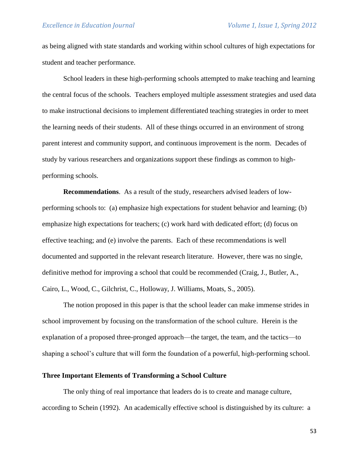as being aligned with state standards and working within school cultures of high expectations for student and teacher performance.

School leaders in these high-performing schools attempted to make teaching and learning the central focus of the schools. Teachers employed multiple assessment strategies and used data to make instructional decisions to implement differentiated teaching strategies in order to meet the learning needs of their students. All of these things occurred in an environment of strong parent interest and community support, and continuous improvement is the norm. Decades of study by various researchers and organizations support these findings as common to highperforming schools.

**Recommendations**. As a result of the study, researchers advised leaders of lowperforming schools to: (a) emphasize high expectations for student behavior and learning; (b) emphasize high expectations for teachers; (c) work hard with dedicated effort; (d) focus on effective teaching; and (e) involve the parents. Each of these recommendations is well documented and supported in the relevant research literature. However, there was no single, definitive method for improving a school that could be recommended (Craig, J., Butler, A., Cairo, L., Wood, C., Gilchrist, C., Holloway, J. Williams, Moats, S., 2005).

The notion proposed in this paper is that the school leader can make immense strides in school improvement by focusing on the transformation of the school culture. Herein is the explanation of a proposed three-pronged approach—the target, the team, and the tactics—to shaping a school's culture that will form the foundation of a powerful, high-performing school.

### **Three Important Elements of Transforming a School Culture**

The only thing of real importance that leaders do is to create and manage culture, according to Schein (1992). An academically effective school is distinguished by its culture: a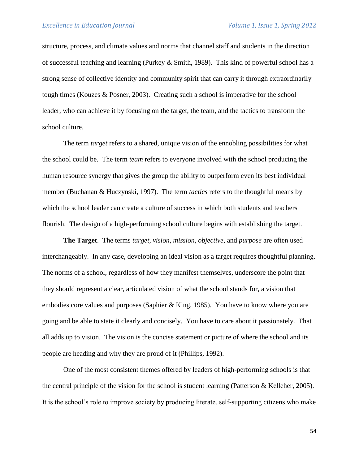structure, process, and climate values and norms that channel staff and students in the direction of successful teaching and learning (Purkey & Smith, 1989). This kind of powerful school has a strong sense of collective identity and community spirit that can carry it through extraordinarily tough times (Kouzes & Posner, 2003). Creating such a school is imperative for the school leader, who can achieve it by focusing on the target, the team, and the tactics to transform the school culture.

The term *target* refers to a shared, unique vision of the ennobling possibilities for what the school could be. The term *team* refers to everyone involved with the school producing the human resource synergy that gives the group the ability to outperform even its best individual member (Buchanan & Huczynski, 1997). The term *tactics* refers to the thoughtful means by which the school leader can create a culture of success in which both students and teachers flourish. The design of a high-performing school culture begins with establishing the target.

**The Target**. The terms *target*, *vision*, *mission*, *objective*, and *purpose* are often used interchangeably. In any case, developing an ideal vision as a target requires thoughtful planning. The norms of a school, regardless of how they manifest themselves, underscore the point that they should represent a clear, articulated vision of what the school stands for, a vision that embodies core values and purposes (Saphier & King, 1985). You have to know where you are going and be able to state it clearly and concisely. You have to care about it passionately. That all adds up to vision. The vision is the concise statement or picture of where the school and its people are heading and why they are proud of it (Phillips, 1992).

One of the most consistent themes offered by leaders of high-performing schools is that the central principle of the vision for the school is student learning (Patterson & Kelleher, 2005). It is the school's role to improve society by producing literate, self-supporting citizens who make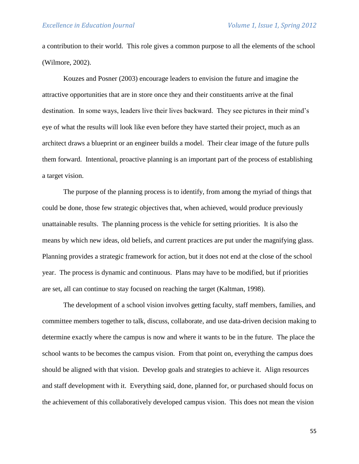a contribution to their world. This role gives a common purpose to all the elements of the school (Wilmore, 2002).

Kouzes and Posner (2003) encourage leaders to envision the future and imagine the attractive opportunities that are in store once they and their constituents arrive at the final destination. In some ways, leaders live their lives backward. They see pictures in their mind's eye of what the results will look like even before they have started their project, much as an architect draws a blueprint or an engineer builds a model. Their clear image of the future pulls them forward. Intentional, proactive planning is an important part of the process of establishing a target vision.

The purpose of the planning process is to identify, from among the myriad of things that could be done, those few strategic objectives that, when achieved, would produce previously unattainable results. The planning process is the vehicle for setting priorities. It is also the means by which new ideas, old beliefs, and current practices are put under the magnifying glass. Planning provides a strategic framework for action, but it does not end at the close of the school year. The process is dynamic and continuous. Plans may have to be modified, but if priorities are set, all can continue to stay focused on reaching the target (Kaltman, 1998).

The development of a school vision involves getting faculty, staff members, families, and committee members together to talk, discuss, collaborate, and use data-driven decision making to determine exactly where the campus is now and where it wants to be in the future. The place the school wants to be becomes the campus vision. From that point on, everything the campus does should be aligned with that vision. Develop goals and strategies to achieve it. Align resources and staff development with it. Everything said, done, planned for, or purchased should focus on the achievement of this collaboratively developed campus vision. This does not mean the vision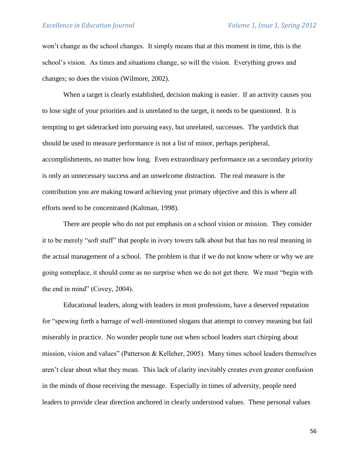won't change as the school changes. It simply means that at this moment in time, this is the school's vision. As times and situations change, so will the vision. Everything grows and changes; so does the vision (Wilmore, 2002).

When a target is clearly established, decision making is easier. If an activity causes you to lose sight of your priorities and is unrelated to the target, it needs to be questioned. It is tempting to get sidetracked into pursuing easy, but unrelated, successes. The yardstick that should be used to measure performance is not a list of minor, perhaps peripheral, accomplishments, no matter how long. Even extraordinary performance on a secondary priority is only an unnecessary success and an unwelcome distraction. The real measure is the contribution you are making toward achieving your primary objective and this is where all efforts need to be concentrated (Kaltman, 1998).

There are people who do not put emphasis on a school vision or mission. They consider it to be merely "soft stuff" that people in ivory towers talk about but that has no real meaning in the actual management of a school. The problem is that if we do not know where or why we are going someplace, it should come as no surprise when we do not get there. We must "begin with the end in mind" (Covey, 2004).

Educational leaders, along with leaders in most professions, have a deserved reputation for "spewing forth a barrage of well-intentioned slogans that attempt to convey meaning but fail miserably in practice. No wonder people tune out when school leaders start chirping about mission, vision and values" (Patterson & Kelleher, 2005). Many times school leaders themselves aren't clear about what they mean. This lack of clarity inevitably creates even greater confusion in the minds of those receiving the message. Especially in times of adversity, people need leaders to provide clear direction anchored in clearly understood values. These personal values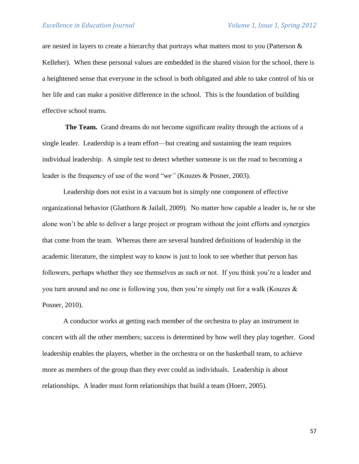are nested in layers to create a hierarchy that portrays what matters most to you (Patterson & Kelleher). When these personal values are embedded in the shared vision for the school, there is a heightened sense that everyone in the school is both obligated and able to take control of his or her life and can make a positive difference in the school. This is the foundation of building effective school teams.

**The Team.** Grand dreams do not become significant reality through the actions of a single leader. Leadership is a team effort—but creating and sustaining the team requires individual leadership. A simple test to detect whether someone is on the road to becoming a leader is the frequency of use of the word "*we"* (Kouzes & Posner, 2003).

Leadership does not exist in a vacuum but is simply one component of effective organizational behavior (Glatthorn & Jailall, 2009). No matter how capable a leader is, he or she alone won't be able to deliver a large project or program without the joint efforts and synergies that come from the team. Whereas there are several hundred definitions of leadership in the academic literature, the simplest way to know is just to look to see whether that person has followers, perhaps whether they see themselves as such or not. If you think you're a leader and you turn around and no one is following you, then you're simply out for a walk (Kouzes & Posner, 2010).

A conductor works at getting each member of the orchestra to play an instrument in concert with all the other members; success is determined by how well they play together. Good leadership enables the players, whether in the orchestra or on the basketball team, to achieve more as members of the group than they ever could as individuals. Leadership is about relationships. A leader must form relationships that build a team (Hoerr, 2005).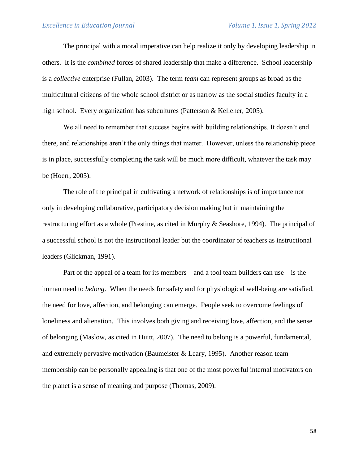The principal with a moral imperative can help realize it only by developing leadership in others. It is the *combined* forces of shared leadership that make a difference. School leadership is a *collective* enterprise (Fullan, 2003). The term *team* can represent groups as broad as the multicultural citizens of the whole school district or as narrow as the social studies faculty in a high school. Every organization has subcultures (Patterson & Kelleher, 2005).

We all need to remember that success begins with building relationships. It doesn't end there, and relationships aren't the only things that matter. However, unless the relationship piece is in place, successfully completing the task will be much more difficult, whatever the task may be (Hoerr, 2005).

The role of the principal in cultivating a network of relationships is of importance not only in developing collaborative, participatory decision making but in maintaining the restructuring effort as a whole (Prestine, as cited in Murphy & Seashore, 1994). The principal of a successful school is not the instructional leader but the coordinator of teachers as instructional leaders (Glickman, 1991).

Part of the appeal of a team for its members—and a tool team builders can use—is the human need to *belong*. When the needs for safety and for physiological well-being are satisfied, the need for love, affection, and belonging can emerge. People seek to overcome feelings of loneliness and alienation. This involves both giving and receiving love, affection, and the sense of belonging (Maslow, as cited in Huitt, 2007). The need to belong is a powerful, fundamental, and extremely pervasive motivation (Baumeister & Leary, 1995). Another reason team membership can be personally appealing is that one of the most powerful internal motivators on the planet is a sense of meaning and purpose (Thomas, 2009).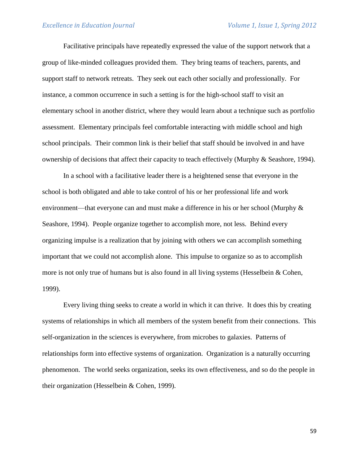Facilitative principals have repeatedly expressed the value of the support network that a group of like-minded colleagues provided them. They bring teams of teachers, parents, and support staff to network retreats. They seek out each other socially and professionally. For instance, a common occurrence in such a setting is for the high-school staff to visit an elementary school in another district, where they would learn about a technique such as portfolio assessment. Elementary principals feel comfortable interacting with middle school and high school principals. Their common link is their belief that staff should be involved in and have ownership of decisions that affect their capacity to teach effectively (Murphy & Seashore, 1994).

In a school with a facilitative leader there is a heightened sense that everyone in the school is both obligated and able to take control of his or her professional life and work environment—that everyone can and must make a difference in his or her school (Murphy & Seashore, 1994). People organize together to accomplish more, not less. Behind every organizing impulse is a realization that by joining with others we can accomplish something important that we could not accomplish alone. This impulse to organize so as to accomplish more is not only true of humans but is also found in all living systems (Hesselbein & Cohen, 1999).

Every living thing seeks to create a world in which it can thrive. It does this by creating systems of relationships in which all members of the system benefit from their connections. This self-organization in the sciences is everywhere, from microbes to galaxies. Patterns of relationships form into effective systems of organization. Organization is a naturally occurring phenomenon. The world seeks organization, seeks its own effectiveness, and so do the people in their organization (Hesselbein & Cohen, 1999).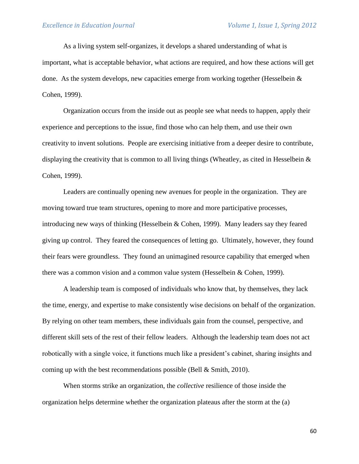As a living system self-organizes, it develops a shared understanding of what is important, what is acceptable behavior, what actions are required, and how these actions will get done. As the system develops, new capacities emerge from working together (Hesselbein  $\&$ Cohen, 1999).

Organization occurs from the inside out as people see what needs to happen, apply their experience and perceptions to the issue, find those who can help them, and use their own creativity to invent solutions. People are exercising initiative from a deeper desire to contribute, displaying the creativity that is common to all living things (Wheatley, as cited in Hesselbein  $\&$ Cohen, 1999).

Leaders are continually opening new avenues for people in the organization. They are moving toward true team structures, opening to more and more participative processes, introducing new ways of thinking (Hesselbein & Cohen, 1999). Many leaders say they feared giving up control. They feared the consequences of letting go. Ultimately, however, they found their fears were groundless. They found an unimagined resource capability that emerged when there was a common vision and a common value system (Hesselbein & Cohen, 1999).

A leadership team is composed of individuals who know that, by themselves, they lack the time, energy, and expertise to make consistently wise decisions on behalf of the organization. By relying on other team members, these individuals gain from the counsel, perspective, and different skill sets of the rest of their fellow leaders. Although the leadership team does not act robotically with a single voice, it functions much like a president's cabinet, sharing insights and coming up with the best recommendations possible (Bell & Smith, 2010).

When storms strike an organization, the *collective* resilience of those inside the organization helps determine whether the organization plateaus after the storm at the (a)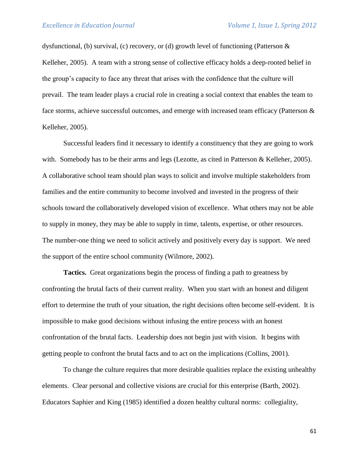dysfunctional, (b) survival, (c) recovery, or (d) growth level of functioning (Patterson  $\&$ Kelleher, 2005). A team with a strong sense of collective efficacy holds a deep-rooted belief in the group's capacity to face any threat that arises with the confidence that the culture will prevail. The team leader plays a crucial role in creating a social context that enables the team to face storms, achieve successful outcomes, and emerge with increased team efficacy (Patterson & Kelleher, 2005).

Successful leaders find it necessary to identify a constituency that they are going to work with. Somebody has to be their arms and legs (Lezotte, as cited in Patterson & Kelleher, 2005). A collaborative school team should plan ways to solicit and involve multiple stakeholders from families and the entire community to become involved and invested in the progress of their schools toward the collaboratively developed vision of excellence. What others may not be able to supply in money, they may be able to supply in time, talents, expertise, or other resources. The number-one thing we need to solicit actively and positively every day is support. We need the support of the entire school community (Wilmore, 2002).

**Tactics.** Great organizations begin the process of finding a path to greatness by confronting the brutal facts of their current reality. When you start with an honest and diligent effort to determine the truth of your situation, the right decisions often become self-evident. It is impossible to make good decisions without infusing the entire process with an honest confrontation of the brutal facts. Leadership does not begin just with vision. It begins with getting people to confront the brutal facts and to act on the implications (Collins, 2001).

To change the culture requires that more desirable qualities replace the existing unhealthy elements. Clear personal and collective visions are crucial for this enterprise (Barth, 2002). Educators Saphier and King (1985) identified a dozen healthy cultural norms: collegiality,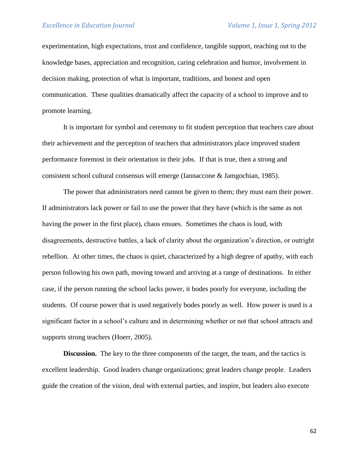experimentation, high expectations, trust and confidence, tangible support, reaching out to the knowledge bases, appreciation and recognition, caring celebration and humor, involvement in decision making, protection of what is important, traditions, and honest and open communication. These qualities dramatically affect the capacity of a school to improve and to promote learning.

It is important for symbol and ceremony to fit student perception that teachers care about their achievement and the perception of teachers that administrators place improved student performance foremost in their orientation in their jobs. If that is true, then a strong and consistent school cultural consensus will emerge (Iannaccone & Jamgochian, 1985).

The power that administrators need cannot be given to them; they must earn their power. If administrators lack power or fail to use the power that they have (which is the same as not having the power in the first place), chaos ensues. Sometimes the chaos is loud, with disagreements, destructive battles, a lack of clarity about the organization's direction, or outright rebellion. At other times, the chaos is quiet, characterized by a high degree of apathy, with each person following his own path, moving toward and arriving at a range of destinations. In either case, if the person running the school lacks power, it bodes poorly for everyone, including the students. Of course power that is used negatively bodes poorly as well. How power is used is a significant factor in a school's culture and in determining whether or not that school attracts and supports strong teachers (Hoerr, 2005).

**Discussion.** The key to the three components of the target, the team, and the tactics is excellent leadership. Good leaders change organizations; great leaders change people. Leaders guide the creation of the vision, deal with external parties, and inspire, but leaders also execute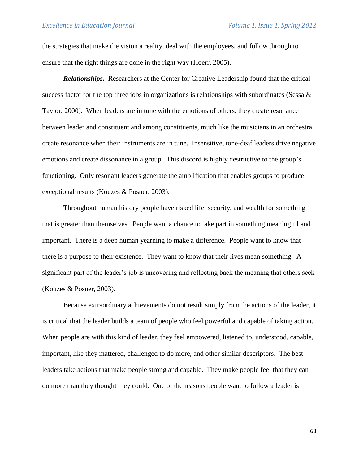the strategies that make the vision a reality, deal with the employees, and follow through to ensure that the right things are done in the right way (Hoerr, 2005).

*Relationships.* Researchers at the Center for Creative Leadership found that the critical success factor for the top three jobs in organizations is relationships with subordinates (Sessa  $\&$ Taylor, 2000). When leaders are in tune with the emotions of others, they create resonance between leader and constituent and among constituents, much like the musicians in an orchestra create resonance when their instruments are in tune. Insensitive, tone-deaf leaders drive negative emotions and create dissonance in a group. This discord is highly destructive to the group's functioning. Only resonant leaders generate the amplification that enables groups to produce exceptional results (Kouzes & Posner, 2003).

Throughout human history people have risked life, security, and wealth for something that is greater than themselves. People want a chance to take part in something meaningful and important. There is a deep human yearning to make a difference. People want to know that there is a purpose to their existence. They want to know that their lives mean something. A significant part of the leader's job is uncovering and reflecting back the meaning that others seek (Kouzes & Posner, 2003).

Because extraordinary achievements do not result simply from the actions of the leader, it is critical that the leader builds a team of people who feel powerful and capable of taking action. When people are with this kind of leader, they feel empowered, listened to, understood, capable, important, like they mattered, challenged to do more, and other similar descriptors. The best leaders take actions that make people strong and capable. They make people feel that they can do more than they thought they could. One of the reasons people want to follow a leader is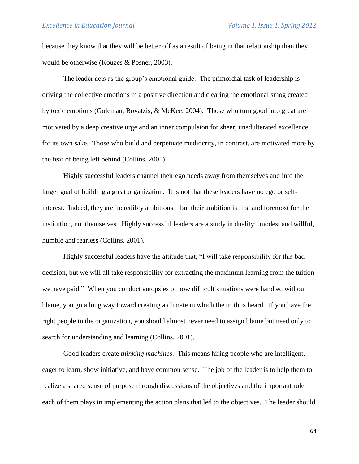because they know that they will be better off as a result of being in that relationship than they would be otherwise (Kouzes & Posner, 2003).

The leader acts as the group's emotional guide. The primordial task of leadership is driving the collective emotions in a positive direction and clearing the emotional smog created by toxic emotions (Goleman, Boyatzis, & McKee, 2004). Those who turn good into great are motivated by a deep creative urge and an inner compulsion for sheer, unadulterated excellence for its own sake. Those who build and perpetuate mediocrity, in contrast, are motivated more by the fear of being left behind (Collins, 2001).

Highly successful leaders channel their ego needs away from themselves and into the larger goal of building a great organization. It is not that these leaders have no ego or selfinterest. Indeed, they are incredibly ambitious—but their ambition is first and foremost for the institution, not themselves. Highly successful leaders are a study in duality: modest and willful, humble and fearless (Collins, 2001).

Highly successful leaders have the attitude that, "I will take responsibility for this bad decision, but we will all take responsibility for extracting the maximum learning from the tuition we have paid." When you conduct autopsies of how difficult situations were handled without blame, you go a long way toward creating a climate in which the truth is heard. If you have the right people in the organization, you should almost never need to assign blame but need only to search for understanding and learning (Collins, 2001).

Good leaders create *thinking machines*. This means hiring people who are intelligent, eager to learn, show initiative, and have common sense. The job of the leader is to help them to realize a shared sense of purpose through discussions of the objectives and the important role each of them plays in implementing the action plans that led to the objectives. The leader should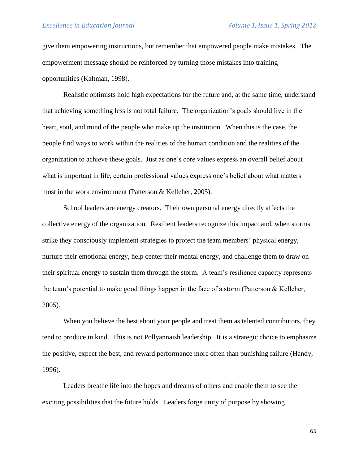give them empowering instructions, but remember that empowered people make mistakes. The empowerment message should be reinforced by turning those mistakes into training opportunities (Kaltman, 1998).

Realistic optimists hold high expectations for the future and, at the same time, understand that achieving something less is not total failure. The organization's goals should live in the heart, soul, and mind of the people who make up the institution. When this is the case, the people find ways to work within the realities of the human condition and the realities of the organization to achieve these goals. Just as one's core values express an overall belief about what is important in life, certain professional values express one's belief about what matters most in the work environment (Patterson & Kelleher, 2005).

School leaders are energy creators. Their own personal energy directly affects the collective energy of the organization. Resilient leaders recognize this impact and, when storms strike they consciously implement strategies to protect the team members' physical energy, nurture their emotional energy, help center their mental energy, and challenge them to draw on their spiritual energy to sustain them through the storm. A team's resilience capacity represents the team's potential to make good things happen in the face of a storm (Patterson & Kelleher, 2005).

When you believe the best about your people and treat them as talented contributors, they tend to produce in kind. This is not Pollyannaish leadership. It is a strategic choice to emphasize the positive, expect the best, and reward performance more often than punishing failure (Handy, 1996).

Leaders breathe life into the hopes and dreams of others and enable them to see the exciting possibilities that the future holds. Leaders forge unity of purpose by showing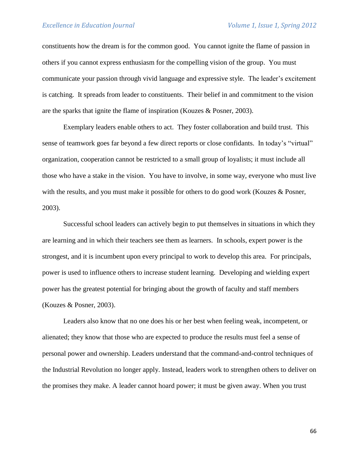constituents how the dream is for the common good. You cannot ignite the flame of passion in others if you cannot express enthusiasm for the compelling vision of the group. You must communicate your passion through vivid language and expressive style. The leader's excitement is catching. It spreads from leader to constituents. Their belief in and commitment to the vision are the sparks that ignite the flame of inspiration (Kouzes & Posner, 2003).

Exemplary leaders enable others to act. They foster collaboration and build trust. This sense of teamwork goes far beyond a few direct reports or close confidants. In today's "virtual" organization, cooperation cannot be restricted to a small group of loyalists; it must include all those who have a stake in the vision. You have to involve, in some way, everyone who must live with the results, and you must make it possible for others to do good work (Kouzes & Posner, 2003).

Successful school leaders can actively begin to put themselves in situations in which they are learning and in which their teachers see them as learners. In schools, expert power is the strongest, and it is incumbent upon every principal to work to develop this area. For principals, power is used to influence others to increase student learning. Developing and wielding expert power has the greatest potential for bringing about the growth of faculty and staff members (Kouzes & Posner, 2003).

Leaders also know that no one does his or her best when feeling weak, incompetent, or alienated; they know that those who are expected to produce the results must feel a sense of personal power and ownership. Leaders understand that the command-and-control techniques of the Industrial Revolution no longer apply. Instead, leaders work to strengthen others to deliver on the promises they make. A leader cannot hoard power; it must be given away. When you trust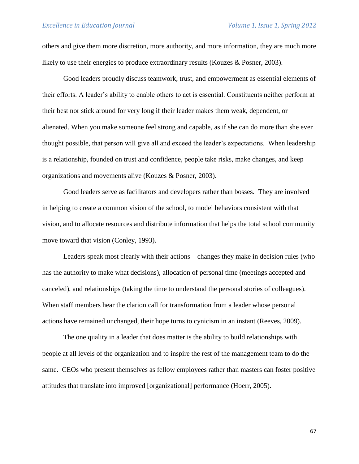others and give them more discretion, more authority, and more information, they are much more likely to use their energies to produce extraordinary results (Kouzes & Posner, 2003).

Good leaders proudly discuss teamwork, trust, and empowerment as essential elements of their efforts. A leader's ability to enable others to act is essential. Constituents neither perform at their best nor stick around for very long if their leader makes them weak, dependent, or alienated. When you make someone feel strong and capable, as if she can do more than she ever thought possible, that person will give all and exceed the leader's expectations. When leadership is a relationship, founded on trust and confidence, people take risks, make changes, and keep organizations and movements alive (Kouzes & Posner, 2003).

Good leaders serve as facilitators and developers rather than bosses. They are involved in helping to create a common vision of the school, to model behaviors consistent with that vision, and to allocate resources and distribute information that helps the total school community move toward that vision (Conley, 1993).

Leaders speak most clearly with their actions—changes they make in decision rules (who has the authority to make what decisions), allocation of personal time (meetings accepted and canceled), and relationships (taking the time to understand the personal stories of colleagues). When staff members hear the clarion call for transformation from a leader whose personal actions have remained unchanged, their hope turns to cynicism in an instant (Reeves, 2009).

The one quality in a leader that does matter is the ability to build relationships with people at all levels of the organization and to inspire the rest of the management team to do the same. CEOs who present themselves as fellow employees rather than masters can foster positive attitudes that translate into improved [organizational] performance (Hoerr, 2005).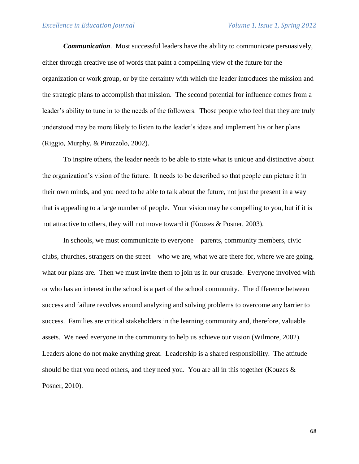*Communication*. Most successful leaders have the ability to communicate persuasively, either through creative use of words that paint a compelling view of the future for the organization or work group, or by the certainty with which the leader introduces the mission and the strategic plans to accomplish that mission. The second potential for influence comes from a leader's ability to tune in to the needs of the followers. Those people who feel that they are truly understood may be more likely to listen to the leader's ideas and implement his or her plans (Riggio, Murphy, & Pirozzolo, 2002).

To inspire others, the leader needs to be able to state what is unique and distinctive about the organization's vision of the future. It needs to be described so that people can picture it in their own minds, and you need to be able to talk about the future, not just the present in a way that is appealing to a large number of people. Your vision may be compelling to you, but if it is not attractive to others, they will not move toward it (Kouzes & Posner, 2003).

In schools, we must communicate to everyone—parents, community members, civic clubs, churches, strangers on the street—who we are, what we are there for, where we are going, what our plans are. Then we must invite them to join us in our crusade. Everyone involved with or who has an interest in the school is a part of the school community. The difference between success and failure revolves around analyzing and solving problems to overcome any barrier to success. Families are critical stakeholders in the learning community and, therefore, valuable assets. We need everyone in the community to help us achieve our vision (Wilmore, 2002). Leaders alone do not make anything great. Leadership is a shared responsibility. The attitude should be that you need others, and they need you. You are all in this together (Kouzes  $\&$ Posner, 2010).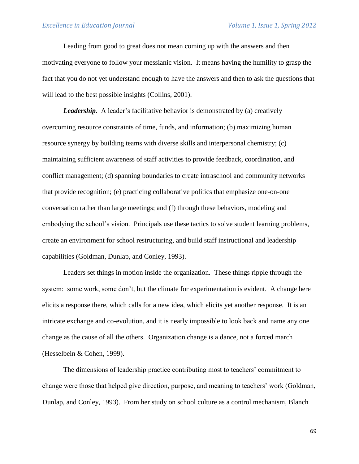Leading from good to great does not mean coming up with the answers and then motivating everyone to follow your messianic vision. It means having the humility to grasp the fact that you do not yet understand enough to have the answers and then to ask the questions that will lead to the best possible insights (Collins, 2001).

*Leadership*. A leader's facilitative behavior is demonstrated by (a) creatively overcoming resource constraints of time, funds, and information; (b) maximizing human resource synergy by building teams with diverse skills and interpersonal chemistry; (c) maintaining sufficient awareness of staff activities to provide feedback, coordination, and conflict management; (d) spanning boundaries to create intraschool and community networks that provide recognition; (e) practicing collaborative politics that emphasize one-on-one conversation rather than large meetings; and (f) through these behaviors, modeling and embodying the school's vision. Principals use these tactics to solve student learning problems, create an environment for school restructuring, and build staff instructional and leadership capabilities (Goldman, Dunlap, and Conley, 1993).

Leaders set things in motion inside the organization. These things ripple through the system: some work, some don't, but the climate for experimentation is evident. A change here elicits a response there, which calls for a new idea, which elicits yet another response. It is an intricate exchange and co-evolution, and it is nearly impossible to look back and name any one change as the cause of all the others. Organization change is a dance, not a forced march (Hesselbein & Cohen, 1999).

The dimensions of leadership practice contributing most to teachers' commitment to change were those that helped give direction, purpose, and meaning to teachers' work (Goldman, Dunlap, and Conley, 1993). From her study on school culture as a control mechanism, Blanch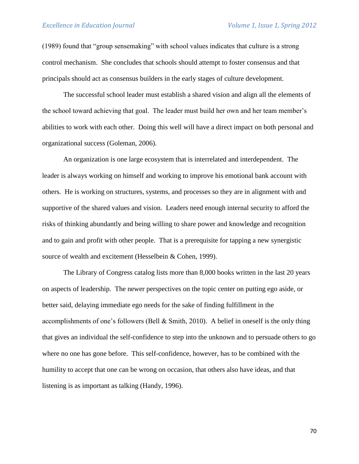(1989) found that "group sensemaking" with school values indicates that culture is a strong control mechanism. She concludes that schools should attempt to foster consensus and that principals should act as consensus builders in the early stages of culture development.

The successful school leader must establish a shared vision and align all the elements of the school toward achieving that goal. The leader must build her own and her team member's abilities to work with each other. Doing this well will have a direct impact on both personal and organizational success (Goleman, 2006).

An organization is one large ecosystem that is interrelated and interdependent. The leader is always working on himself and working to improve his emotional bank account with others. He is working on structures, systems, and processes so they are in alignment with and supportive of the shared values and vision. Leaders need enough internal security to afford the risks of thinking abundantly and being willing to share power and knowledge and recognition and to gain and profit with other people. That is a prerequisite for tapping a new synergistic source of wealth and excitement (Hesselbein & Cohen, 1999).

The Library of Congress catalog lists more than 8,000 books written in the last 20 years on aspects of leadership. The newer perspectives on the topic center on putting ego aside, or better said, delaying immediate ego needs for the sake of finding fulfillment in the accomplishments of one's followers (Bell & Smith, 2010). A belief in oneself is the only thing that gives an individual the self-confidence to step into the unknown and to persuade others to go where no one has gone before. This self-confidence, however, has to be combined with the humility to accept that one can be wrong on occasion, that others also have ideas, and that listening is as important as talking (Handy, 1996).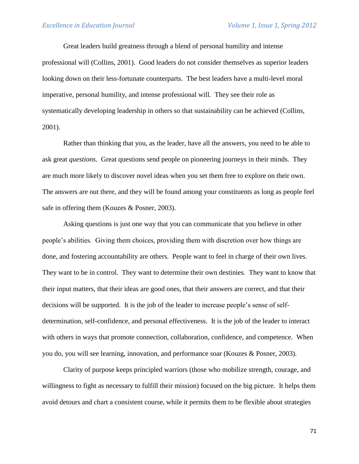Great leaders build greatness through a blend of personal humility and intense professional will (Collins, 2001). Good leaders do not consider themselves as superior leaders looking down on their less-fortunate counterparts. The best leaders have a multi-level moral imperative, personal humility, and intense professional will. They see their role as systematically developing leadership in others so that sustainability can be achieved (Collins, 2001).

Rather than thinking that you, as the leader, have all the answers, you need to be able to ask great *questions*. Great questions send people on pioneering journeys in their minds. They are much more likely to discover novel ideas when you set them free to explore on their own. The answers are out there, and they will be found among your constituents as long as people feel safe in offering them (Kouzes & Posner, 2003).

Asking questions is just one way that you can communicate that you believe in other people's abilities. Giving them choices, providing them with discretion over how things are done, and fostering accountability are others. People want to feel in charge of their own lives. They want to be in control. They want to determine their own destinies. They want to know that their input matters, that their ideas are good ones, that their answers are correct, and that their decisions will be supported. It is the job of the leader to increase people's sense of selfdetermination, self-confidence, and personal effectiveness. It is the job of the leader to interact with others in ways that promote connection, collaboration, confidence, and competence. When you do, you will see learning, innovation, and performance soar (Kouzes & Posner, 2003).

Clarity of purpose keeps principled warriors (those who mobilize strength, courage, and willingness to fight as necessary to fulfill their mission) focused on the big picture. It helps them avoid detours and chart a consistent course, while it permits them to be flexible about strategies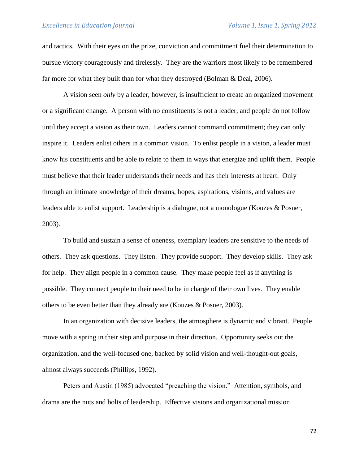and tactics. With their eyes on the prize, conviction and commitment fuel their determination to pursue victory courageously and tirelessly. They are the warriors most likely to be remembered far more for what they built than for what they destroyed (Bolman & Deal, 2006).

A vision seen *only* by a leader, however, is insufficient to create an organized movement or a significant change. A person with no constituents is not a leader, and people do not follow until they accept a vision as their own. Leaders cannot command commitment; they can only inspire it. Leaders enlist others in a common vision. To enlist people in a vision, a leader must know his constituents and be able to relate to them in ways that energize and uplift them. People must believe that their leader understands their needs and has their interests at heart. Only through an intimate knowledge of their dreams, hopes, aspirations, visions, and values are leaders able to enlist support. Leadership is a dialogue, not a monologue (Kouzes & Posner, 2003).

To build and sustain a sense of oneness, exemplary leaders are sensitive to the needs of others. They ask questions. They listen. They provide support. They develop skills. They ask for help. They align people in a common cause. They make people feel as if anything is possible. They connect people to their need to be in charge of their own lives. They enable others to be even better than they already are (Kouzes & Posner, 2003).

In an organization with decisive leaders, the atmosphere is dynamic and vibrant. People move with a spring in their step and purpose in their direction. Opportunity seeks out the organization, and the well-focused one, backed by solid vision and well-thought-out goals, almost always succeeds (Phillips, 1992).

Peters and Austin (1985) advocated "preaching the vision." Attention, symbols, and drama are the nuts and bolts of leadership. Effective visions and organizational mission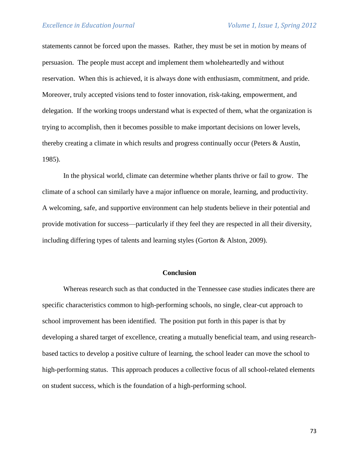statements cannot be forced upon the masses. Rather, they must be set in motion by means of persuasion. The people must accept and implement them wholeheartedly and without reservation. When this is achieved, it is always done with enthusiasm, commitment, and pride. Moreover, truly accepted visions tend to foster innovation, risk-taking, empowerment, and delegation. If the working troops understand what is expected of them, what the organization is trying to accomplish, then it becomes possible to make important decisions on lower levels, thereby creating a climate in which results and progress continually occur (Peters & Austin, 1985).

In the physical world, climate can determine whether plants thrive or fail to grow. The climate of a school can similarly have a major influence on morale, learning, and productivity. A welcoming, safe, and supportive environment can help students believe in their potential and provide motivation for success—particularly if they feel they are respected in all their diversity, including differing types of talents and learning styles (Gorton & Alston, 2009).

## **Conclusion**

Whereas research such as that conducted in the Tennessee case studies indicates there are specific characteristics common to high-performing schools, no single, clear-cut approach to school improvement has been identified. The position put forth in this paper is that by developing a shared target of excellence, creating a mutually beneficial team, and using researchbased tactics to develop a positive culture of learning, the school leader can move the school to high-performing status. This approach produces a collective focus of all school-related elements on student success, which is the foundation of a high-performing school.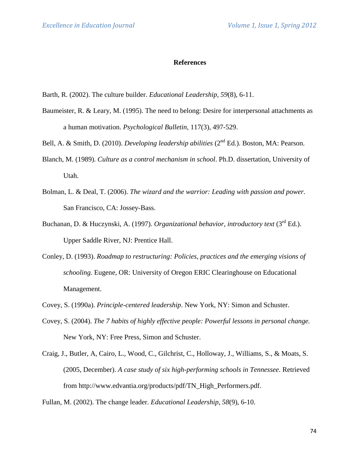### **References**

- Barth, R. (2002). The culture builder. *Educational Leadership, 59*(8), 6-11.
- Baumeister, R. & Leary, M. (1995). The need to belong: Desire for interpersonal attachments as a human motivation. *Psychological Bulletin*, 117(3), 497-529.
- Bell, A. & Smith, D. (2010). *Developing leadership abilities* (2<sup>nd</sup> Ed.). Boston, MA: Pearson.
- Blanch, M. (1989). *Culture as a control mechanism in school*. Ph.D. dissertation, University of Utah.
- Bolman, L. & Deal, T. (2006). *The wizard and the warrior: Leading with passion and power.* San Francisco, CA: Jossey-Bass.
- Buchanan, D. & Huczynski, A. (1997). *Organizational behavior, introductory text* (3rd Ed.). Upper Saddle River, NJ: Prentice Hall.
- Conley, D. (1993). *Roadmap to restructuring: Policies, practices and the emerging visions of schooling.* Eugene, OR: University of Oregon ERIC Clearinghouse on Educational Management.
- Covey, S. (1990a). *Principle-centered leadership*. New York, NY: Simon and Schuster.
- Covey, S. (2004). *The 7 habits of highly effective people: Powerful lessons in personal change.* New York, NY: Free Press, Simon and Schuster.
- Craig, J., Butler, A, Cairo, L., Wood, C., Gilchrist, C., Holloway, J., Williams, S., & Moats, S. (2005, December). *A case study of six high-performing schools in Tennessee.* Retrieved from http://www.edvantia.org/products/pdf/TN\_High\_Performers.pdf.

Fullan, M. (2002). The change leader. *Educational Leadership, 58*(9), 6-10.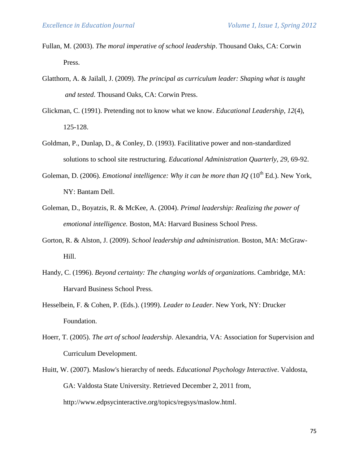- Fullan, M. (2003). *The moral imperative of school leadership*. Thousand Oaks, CA: Corwin Press.
- Glatthorn, A. & Jailall, J. (2009). *The principal as curriculum leader: Shaping what is taught and tested*. Thousand Oaks, CA: Corwin Press.
- Glickman, C. (1991). Pretending not to know what we know. *Educational Leadership, 12*(4), 125-128.
- Goldman, P., Dunlap, D., & Conley, D. (1993). Facilitative power and non-standardized solutions to school site restructuring. *Educational Administration Quarterly, 29*, 69-92.
- Goleman, D. (2006). *Emotional intelligence: Why it can be more than IQ* (10<sup>th</sup> Ed.). New York, NY: Bantam Dell.
- Goleman, D., Boyatzis, R. & McKee, A. (2004). *Primal leadership: Realizing the power of emotional intelligence.* Boston, MA: Harvard Business School Press.
- Gorton, R. & Alston, J. (2009). *School leadership and administration*. Boston, MA: McGraw-Hill.
- Handy, C. (1996). *Beyond certainty: The changing worlds of organizations*. Cambridge, MA: Harvard Business School Press.
- Hesselbein, F. & Cohen, P. (Eds.). (1999). *Leader to Leader*. New York, NY: Drucker Foundation.
- Hoerr, T. (2005). *The art of school leadership*. Alexandria, VA: Association for Supervision and Curriculum Development.
- Huitt, W. (2007). Maslow's hierarchy of needs. *Educational Psychology Interactive*. Valdosta, GA: Valdosta State University. Retrieved December 2, 2011 from, [http://www.edpsycinteractive.org/topics/regsys/maslow.html.](http://www.edpsycinteractive.org/topics/regsys/maslow.html)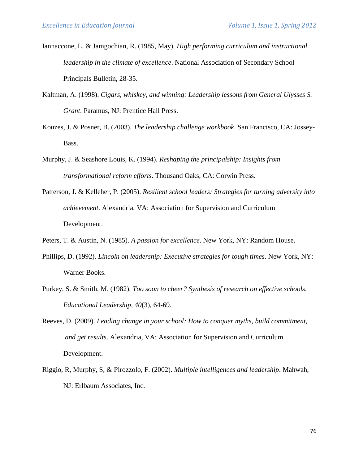- Iannaccone, L. & Jamgochian, R. (1985, May). *High performing curriculum and instructional leadership in the climate of excellence*. National Association of Secondary School Principals Bulletin, 28-35.
- Kaltman, A. (1998). *Cigars, whiskey, and winning: Leadership lessons from General Ulysses S. Grant*. Paramus, NJ: Prentice Hall Press.
- Kouzes, J. & Posner, B. (2003). *The leadership challenge workbook*. San Francisco, CA: Jossey-Bass.
- Murphy, J. & Seashore Louis, K. (1994). *Reshaping the principalship: Insights from transformational reform efforts*. Thousand Oaks, CA: Corwin Press.
- Patterson, J. & Kelleher, P. (2005). *Resilient school leaders: Strategies for turning adversity into achievement*. Alexandria, VA: Association for Supervision and Curriculum Development.
- Peters, T. & Austin, N. (1985). *A passion for excellence*. New York, NY: Random House.
- Phillips, D. (1992). *Lincoln on leadership: Executive strategies for tough times*. New York, NY: Warner Books.
- Purkey, S. & Smith, M. (1982). *Too soon to cheer? Synthesis of research on effective schools. Educational Leadership, 40*(3), 64-69.
- Reeves, D. (2009). *Leading change in your school: How to conquer myths, build commitment, and get results*. Alexandria, VA: Association for Supervision and Curriculum Development.
- Riggio, R, Murphy, S, & Pirozzolo, F. (2002). *Multiple intelligences and leadership*. Mahwah, NJ: Erlbaum Associates, Inc.